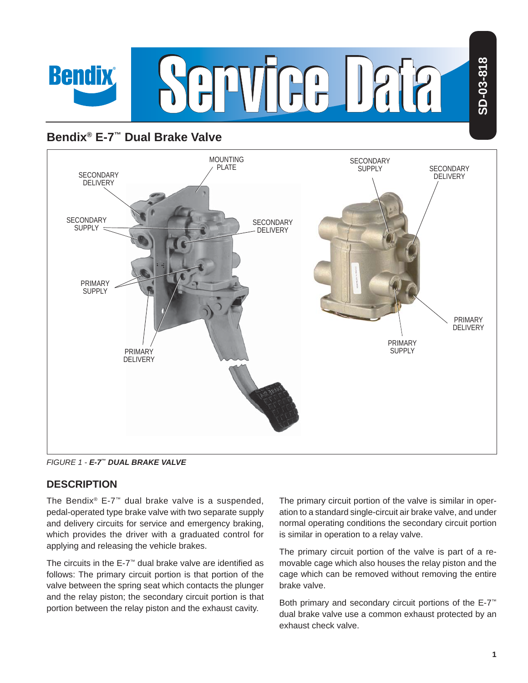

# **Bendix® E-7™ Dual Brake Valve**



*FIGURE 1 - E-7™ DUAL BRAKE VALVE*

### **DESCRIPTION**

The Bendix® E-7™ dual brake valve is a suspended, pedal-operated type brake valve with two separate supply and delivery circuits for service and emergency braking, which provides the driver with a graduated control for applying and releasing the vehicle brakes.

The circuits in the E-7<sup>™</sup> dual brake valve are identified as follows: The primary circuit portion is that portion of the valve between the spring seat which contacts the plunger and the relay piston; the secondary circuit portion is that portion between the relay piston and the exhaust cavity.

The primary circuit portion of the valve is similar in operation to a standard single-circuit air brake valve, and under normal operating conditions the secondary circuit portion is similar in operation to a relay valve.

The primary circuit portion of the valve is part of a removable cage which also houses the relay piston and the cage which can be removed without removing the entire brake valve.

Both primary and secondary circuit portions of the E-7™ dual brake valve use a common exhaust protected by an exhaust check valve.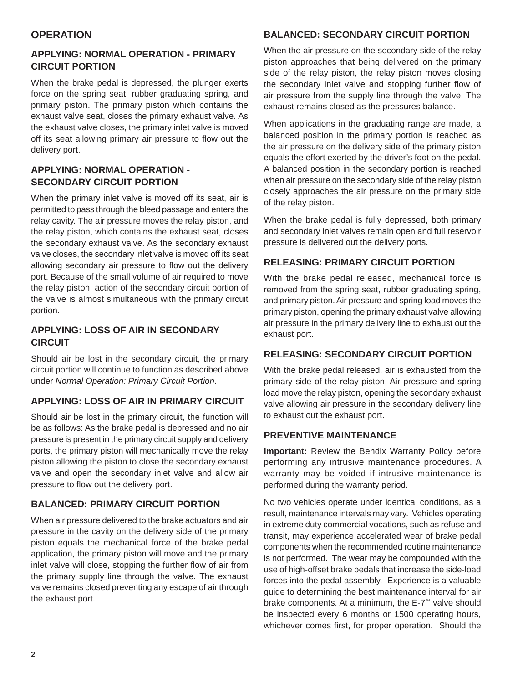#### **OPERATION**

#### **APPLYING: NORMAL OPERATION - PRIMARY CIRCUIT PORTION**

When the brake pedal is depressed, the plunger exerts force on the spring seat, rubber graduating spring, and primary piston. The primary piston which contains the exhaust valve seat, closes the primary exhaust valve. As the exhaust valve closes, the primary inlet valve is moved off its seat allowing primary air pressure to flow out the delivery port.

#### **APPLYING: NORMAL OPERATION - SECONDARY CIRCUIT PORTION**

When the primary inlet valve is moved off its seat, air is permitted to pass through the bleed passage and enters the relay cavity. The air pressure moves the relay piston, and the relay piston, which contains the exhaust seat, closes the secondary exhaust valve. As the secondary exhaust valve closes, the secondary inlet valve is moved off its seat allowing secondary air pressure to flow out the delivery port. Because of the small volume of air required to move the relay piston, action of the secondary circuit portion of the valve is almost simultaneous with the primary circuit portion.

#### **APPLYING: LOSS OF AIR IN SECONDARY CIRCUIT**

Should air be lost in the secondary circuit, the primary circuit portion will continue to function as described above under *Normal Operation: Primary Circuit Portion*.

### **APPLYING: LOSS OF AIR IN PRIMARY CIRCUIT**

Should air be lost in the primary circuit, the function will be as follows: As the brake pedal is depressed and no air pressure is present in the primary circuit supply and delivery ports, the primary piston will mechanically move the relay piston allowing the piston to close the secondary exhaust valve and open the secondary inlet valve and allow air pressure to flow out the delivery port.

### **BALANCED: PRIMARY CIRCUIT PORTION**

When air pressure delivered to the brake actuators and air pressure in the cavity on the delivery side of the primary piston equals the mechanical force of the brake pedal application, the primary piston will move and the primary inlet valve will close, stopping the further flow of air from the primary supply line through the valve. The exhaust valve remains closed preventing any escape of air through the exhaust port.

#### **BALANCED: SECONDARY CIRCUIT PORTION**

When the air pressure on the secondary side of the relay piston approaches that being delivered on the primary side of the relay piston, the relay piston moves closing the secondary inlet valve and stopping further flow of air pressure from the supply line through the valve. The exhaust remains closed as the pressures balance.

When applications in the graduating range are made, a balanced position in the primary portion is reached as the air pressure on the delivery side of the primary piston equals the effort exerted by the driver's foot on the pedal. A balanced position in the secondary portion is reached when air pressure on the secondary side of the relay piston closely approaches the air pressure on the primary side of the relay piston.

When the brake pedal is fully depressed, both primary and secondary inlet valves remain open and full reservoir pressure is delivered out the delivery ports.

#### **RELEASING: PRIMARY CIRCUIT PORTION**

With the brake pedal released, mechanical force is removed from the spring seat, rubber graduating spring, and primary piston. Air pressure and spring load moves the primary piston, opening the primary exhaust valve allowing air pressure in the primary delivery line to exhaust out the exhaust port.

#### **RELEASING: SECONDARY CIRCUIT PORTION**

With the brake pedal released, air is exhausted from the primary side of the relay piston. Air pressure and spring load move the relay piston, opening the secondary exhaust valve allowing air pressure in the secondary delivery line to exhaust out the exhaust port.

#### **PREVENTIVE MAINTENANCE**

**Important:** Review the Bendix Warranty Policy before performing any intrusive maintenance procedures. A warranty may be voided if intrusive maintenance is performed during the warranty period.

No two vehicles operate under identical conditions, as a result, maintenance intervals may vary. Vehicles operating in extreme duty commercial vocations, such as refuse and transit, may experience accelerated wear of brake pedal components when the recommended routine maintenance is not performed. The wear may be compounded with the use of high-offset brake pedals that increase the side-load forces into the pedal assembly. Experience is a valuable guide to determining the best maintenance interval for air brake components. At a minimum, the E-7™ valve should be inspected every 6 months or 1500 operating hours, whichever comes first, for proper operation. Should the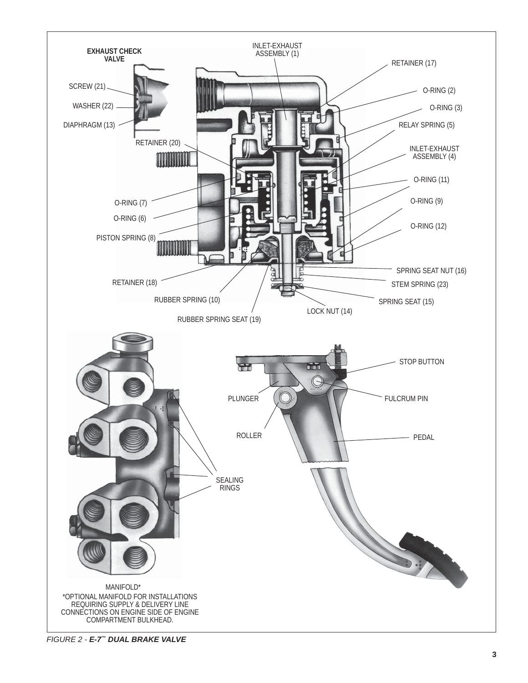

*FIGURE 2 - E-7™ DUAL BRAKE VALVE*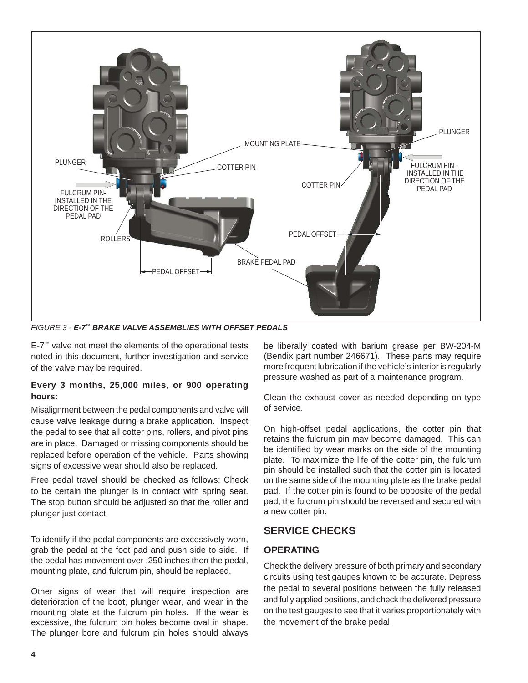

*FIGURE 3 - E-7™ BRAKE VALVE ASSEMBLIES WITH OFFSET PEDALS*

E-7™ valve not meet the elements of the operational tests noted in this document, further investigation and service of the valve may be required.

#### **Every 3 months, 25,000 miles, or 900 operating hours:**

Misalignment between the pedal components and valve will cause valve leakage during a brake application. Inspect the pedal to see that all cotter pins, rollers, and pivot pins are in place. Damaged or missing components should be replaced before operation of the vehicle. Parts showing signs of excessive wear should also be replaced.

Free pedal travel should be checked as follows: Check to be certain the plunger is in contact with spring seat. The stop button should be adjusted so that the roller and plunger just contact.

To identify if the pedal components are excessively worn, grab the pedal at the foot pad and push side to side. If the pedal has movement over .250 inches then the pedal, mounting plate, and fulcrum pin, should be replaced.

Other signs of wear that will require inspection are deterioration of the boot, plunger wear, and wear in the mounting plate at the fulcrum pin holes. If the wear is excessive, the fulcrum pin holes become oval in shape. The plunger bore and fulcrum pin holes should always be liberally coated with barium grease per BW-204-M (Bendix part number 246671). These parts may require more frequent lubrication if the vehicle's interior is regularly pressure washed as part of a maintenance program.

Clean the exhaust cover as needed depending on type of service.

On high-offset pedal applications, the cotter pin that retains the fulcrum pin may become damaged. This can be identified by wear marks on the side of the mounting plate. To maximize the life of the cotter pin, the fulcrum pin should be installed such that the cotter pin is located on the same side of the mounting plate as the brake pedal pad. If the cotter pin is found to be opposite of the pedal pad, the fulcrum pin should be reversed and secured with a new cotter pin.

## **SERVICE CHECKS**

#### **OPERATING**

Check the delivery pressure of both primary and secondary circuits using test gauges known to be accurate. Depress the pedal to several positions between the fully released and fully applied positions, and check the delivered pressure on the test gauges to see that it varies proportionately with the movement of the brake pedal.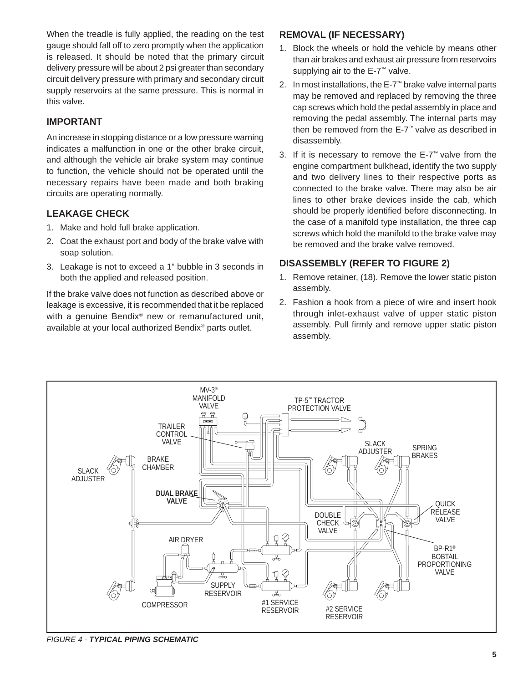When the treadle is fully applied, the reading on the test gauge should fall off to zero promptly when the application is released. It should be noted that the primary circuit delivery pressure will be about 2 psi greater than secondary circuit delivery pressure with primary and secondary circuit supply reservoirs at the same pressure. This is normal in this valve.

#### **IMPORTANT**

An increase in stopping distance or a low pressure warning indicates a malfunction in one or the other brake circuit, and although the vehicle air brake system may continue to function, the vehicle should not be operated until the necessary repairs have been made and both braking circuits are operating normally.

#### **LEAKAGE CHECK**

- 1. Make and hold full brake application.
- 2. Coat the exhaust port and body of the brake valve with soap solution.
- 3. Leakage is not to exceed a 1" bubble in 3 seconds in both the applied and released position.

If the brake valve does not function as described above or leakage is excessive, it is recommended that it be replaced with a genuine Bendix<sup>®</sup> new or remanufactured unit, available at your local authorized Bendix® parts outlet.

#### **REMOVAL (IF NECESSARY)**

- 1. Block the wheels or hold the vehicle by means other than air brakes and exhaust air pressure from reservoirs supplying air to the E-7™ valve.
- 2. In most installations, the E-7™ brake valve internal parts may be removed and replaced by removing the three cap screws which hold the pedal assembly in place and removing the pedal assembly. The internal parts may then be removed from the E-7™ valve as described in disassembly.
- 3. If it is necessary to remove the E-7™ valve from the engine compartment bulkhead, identify the two supply and two delivery lines to their respective ports as connected to the brake valve. There may also be air lines to other brake devices inside the cab, which should be properly identified before disconnecting. In the case of a manifold type installation, the three cap screws which hold the manifold to the brake valve may be removed and the brake valve removed.

#### **DISASSEMBLY (REFER TO FIGURE 2)**

- 1. Remove retainer, (18). Remove the lower static piston assembly.
- 2. Fashion a hook from a piece of wire and insert hook through inlet-exhaust valve of upper static piston assembly. Pull firmly and remove upper static piston assembly.



*FIGURE 4 - TYPICAL PIPING SCHEMATIC*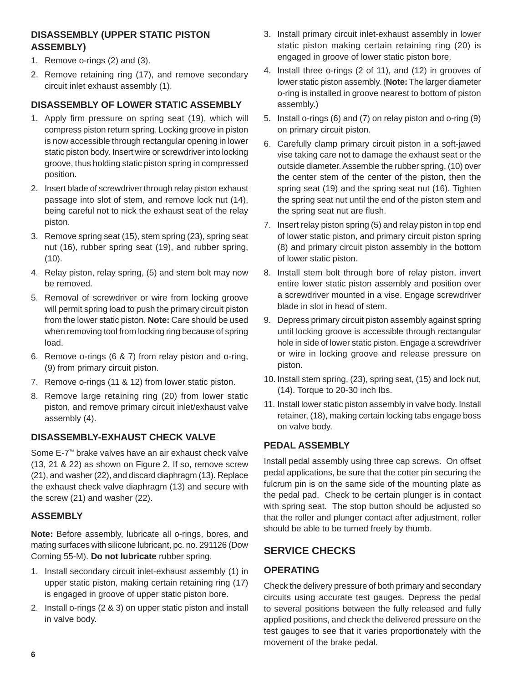### **DISASSEMBLY (UPPER STATIC PISTON ASSEMBLY)**

- 1. Remove o-rings (2) and (3).
- 2. Remove retaining ring (17), and remove secondary circuit inlet exhaust assembly (1).

#### **DISASSEMBLY OF LOWER STATIC ASSEMBLY**

- 1. Apply firm pressure on spring seat (19), which will compress piston return spring. Locking groove in piston is now accessible through rectangular opening in lower static piston body. Insert wire or screwdriver into locking groove, thus holding static piston spring in compressed position.
- 2. Insert blade of screwdriver through relay piston exhaust passage into slot of stem, and remove lock nut (14), being careful not to nick the exhaust seat of the relay piston.
- 3. Remove spring seat (15), stem spring (23), spring seat nut (16), rubber spring seat (19), and rubber spring, (10).
- 4. Relay piston, relay spring, (5) and stem bolt may now be removed.
- 5. Removal of screwdriver or wire from locking groove will permit spring load to push the primary circuit piston from the lower static piston. **Note:** Care should be used when removing tool from locking ring because of spring load.
- 6. Remove o-rings (6 & 7) from relay piston and o-ring, (9) from primary circuit piston.
- 7. Remove o-rings (11 & 12) from lower static piston.
- 8. Remove large retaining ring (20) from lower static piston, and remove primary circuit inlet/exhaust valve assembly (4).

#### **DISASSEMBLY-EXHAUST CHECK VALVE**

Some E-7™ brake valves have an air exhaust check valve (13, 21 & 22) as shown on Figure 2. If so, remove screw (21), and washer (22), and discard diaphragm (13). Replace the exhaust check valve diaphragm (13) and secure with the screw (21) and washer (22).

#### **ASSEMBLY**

**Note:** Before assembly, lubricate all o-rings, bores, and mating surfaces with silicone lubricant, pc. no. 291126 (Dow Corning 55-M). **Do not lubricate** rubber spring.

- 1. Install secondary circuit inlet-exhaust assembly (1) in upper static piston, making certain retaining ring (17) is engaged in groove of upper static piston bore.
- 2. Install o-rings (2 & 3) on upper static piston and install in valve body.
- 3. Install primary circuit inlet-exhaust assembly in lower static piston making certain retaining ring (20) is engaged in groove of lower static piston bore.
- 4. Install three o-rings (2 of 11), and (12) in grooves of lower static piston assembly. (**Note:** The larger diameter o-ring is installed in groove nearest to bottom of piston assembly.)
- 5. Install o-rings (6) and (7) on relay piston and o-ring (9) on primary circuit piston.
- 6. Carefully clamp primary circuit piston in a soft-jawed vise taking care not to damage the exhaust seat or the outside diameter. Assemble the rubber spring, (10) over the center stem of the center of the piston, then the spring seat (19) and the spring seat nut (16). Tighten the spring seat nut until the end of the piston stem and the spring seat nut are flush.
- 7. Insert relay piston spring (5) and relay piston in top end of lower static piston, and primary circuit piston spring (8) and primary circuit piston assembly in the bottom of lower static piston.
- 8. Install stem bolt through bore of relay piston, invert entire lower static piston assembly and position over a screwdriver mounted in a vise. Engage screwdriver blade in slot in head of stem.
- 9. Depress primary circuit piston assembly against spring until locking groove is accessible through rectangular hole in side of lower static piston. Engage a screwdriver or wire in locking groove and release pressure on piston.
- 10. Install stem spring, (23), spring seat, (15) and lock nut, (14). Torque to 20-30 inch Ibs.
- 11. Install lower static piston assembly in valve body. Install retainer, (18), making certain locking tabs engage boss on valve body.

#### **PEDAL ASSEMBLY**

Install pedal assembly using three cap screws. On offset pedal applications, be sure that the cotter pin securing the fulcrum pin is on the same side of the mounting plate as the pedal pad. Check to be certain plunger is in contact with spring seat. The stop button should be adjusted so that the roller and plunger contact after adjustment, roller should be able to be turned freely by thumb.

## **SERVICE CHECKS**

### **OPERATING**

Check the delivery pressure of both primary and secondary circuits using accurate test gauges. Depress the pedal to several positions between the fully released and fully applied positions, and check the delivered pressure on the test gauges to see that it varies proportionately with the movement of the brake pedal.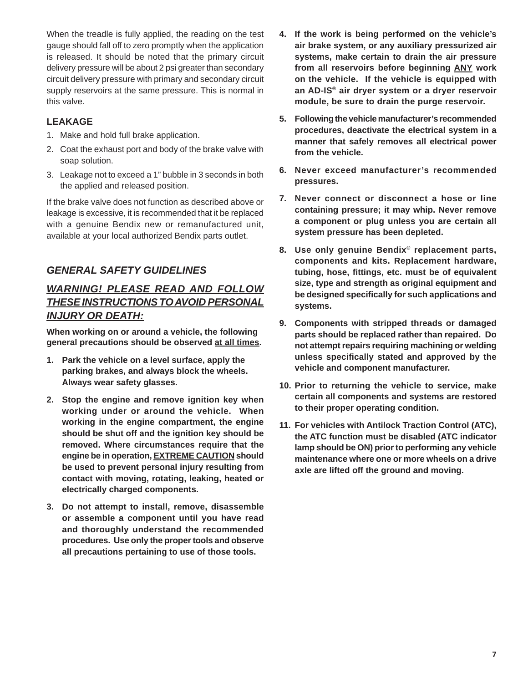When the treadle is fully applied, the reading on the test gauge should fall off to zero promptly when the application is released. It should be noted that the primary circuit delivery pressure will be about 2 psi greater than secondary circuit delivery pressure with primary and secondary circuit supply reservoirs at the same pressure. This is normal in this valve.

#### **LEAKAGE**

- 1. Make and hold full brake application.
- 2. Coat the exhaust port and body of the brake valve with soap solution.
- 3. Leakage not to exceed a 1" bubble in 3 seconds in both the applied and released position.

If the brake valve does not function as described above or leakage is excessive, it is recommended that it be replaced with a genuine Bendix new or remanufactured unit, available at your local authorized Bendix parts outlet.

## *GENERAL SAFETY GUIDELINES*

# *WARNING! PLEASE READ AND FOLLOW THESE INSTRUCTIONS TO AVOID PERSONAL INJURY OR DEATH:*

**When working on or around a vehicle, the following general precautions should be observed at all times.**

- **1. Park the vehicle on a level surface, apply the parking brakes, and always block the wheels. Always wear safety glasses.**
- **2. Stop the engine and remove ignition key when working under or around the vehicle. When working in the engine compartment, the engine should be shut off and the ignition key should be removed. Where circumstances require that the engine be in operation, EXTREME CAUTION should be used to prevent personal injury resulting from contact with moving, rotating, leaking, heated or electrically charged components.**
- **3. Do not attempt to install, remove, disassemble or assemble a component until you have read and thoroughly understand the recommended procedures. Use only the proper tools and observe all precautions pertaining to use of those tools.**
- **4. If the work is being performed on the vehicle's air brake system, or any auxiliary pressurized air systems, make certain to drain the air pressure from all reservoirs before beginning ANY work on the vehicle. If the vehicle is equipped with an AD-IS® air dryer system or a dryer reservoir module, be sure to drain the purge reservoir.**
- **5. Following the vehicle manufacturer's recommended procedures, deactivate the electrical system in a manner that safely removes all electrical power from the vehicle.**
- **6. Never exceed manufacturer's recommended pressures.**
- **7. Never connect or disconnect a hose or line containing pressure; it may whip. Never remove a component or plug unless you are certain all system pressure has been depleted.**
- **8. Use only genuine Bendix® replacement parts, components and kits. Replacement hardware, tubing, hose, fi ttings, etc. must be of equivalent size, type and strength as original equipment and be designed specifi cally for such applications and systems.**
- **9. Components with stripped threads or damaged parts should be replaced rather than repaired. Do not attempt repairs requiring machining or welding unless specifi cally stated and approved by the vehicle and component manufacturer.**
- **10. Prior to returning the vehicle to service, make certain all components and systems are restored to their proper operating condition.**
- **11. For vehicles with Antilock Traction Control (ATC), the ATC function must be disabled (ATC indicator lamp should be ON) prior to performing any vehicle maintenance where one or more wheels on a drive axle are lifted off the ground and moving.**